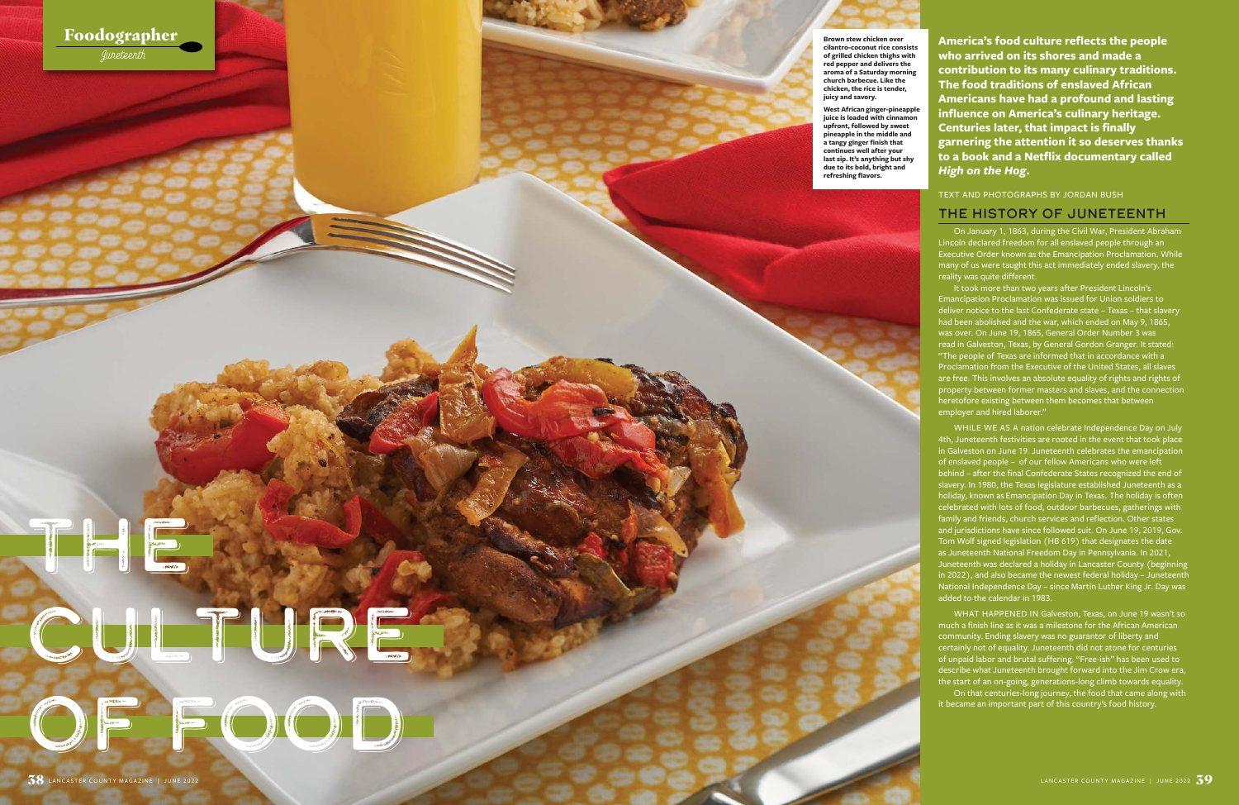**America's food culture reflects the people who arrived on its shores and made a contribution to its many culinary traditions. The food traditions of enslaved African Americans have had a profound and lasting influence on America's culinary heritage. Centuries later, that impact is finally garnering the attention it so deserves thanks to a book and a Netflix documentary called**  *High on the Hog***.** 

TEXT AND PHOTOGRAPHS BY JORDAN BUSH

#### The History of Juneteenth

On January 1, 1863, during the Civil War, President Abraham Lincoln declared freedom for all enslaved people through an Executive Order known as the Emancipation Proclamation. While many of us were taught this act immediately ended slavery, the reality was quite different.

It took more than two years after President Lincoln's Emancipation Proclamation was issued for Union soldiers to deliver notice to the last Confederate state – Texas – that slavery had been abolished and the war, which ended on May 9, 1865, was over. On June 19, 1865, General Order Number 3 was read in Galveston, Texas, by General Gordon Granger. It stated: "The people of Texas are informed that in accordance with a Proclamation from the Executive of the United States, all slaves are free. This involves an absolute equality of rights and rights of property between former masters and slaves, and the connection heretofore existing between them becomes that between employer and hired laborer."

WHILE WE AS A nation celebrate Independence Day on July 4th, Juneteenth festivities are rooted in the event that took place in Galveston on June 19. Juneteenth celebrates the emancipation of enslaved people – of our fellow Americans who were left behind – after the final Confederate States recognized the end of slavery. In 1980, the Texas legislature established Juneteenth as a holiday, known as Emancipation Day in Texas. The holiday is often celebrated with lots of food, outdoor barbecues, gatherings with family and friends, church services and reflection. Other states and jurisdictions have since followed suit. On June 19, 2019, Gov. Tom Wolf signed legislation (HB 619) that designates the date as Juneteenth National Freedom Day in Pennsylvania. In 2021, Juneteenth was declared a holiday in Lancaster County (beginning in 2022), and also became the newest federal holiday – Juneteenth National Independence Day – since Martin Luther King Jr. Day was added to the calendar in 1983.

WHAT HAPPENED IN Galveston, Texas, on June 19 wasn't so much a finish line as it was a milestone for the African American community. Ending slavery was no guarantor of liberty and certainly not of equality. Juneteenth did not atone for centuries of unpaid labor and brutal suffering. "Free-ish" has been used to describe what Juneteenth brought forward into the Jim Crow era, the start of an on-going, generations-long climb towards equality.

On that centuries-long journey, the food that came along with it became an important part of this country's food history.

**Brown stew chicken over cilantro-coconut rice consists of grilled chicken thighs with red pepper and delivers the aroma of a Saturday morning church barbecue. Like the chicken, the rice is tender, juicy and savory.**

**West African ginger-pineapple**  juice is loaded with cinnam **upfront, followed by sweet pineapple in the middle and a tangy ginger finish that continues well after your last sip. It's anything but shy due to its bold, bright and refreshing flavors.** 

# The Second Second Second Second Second Second Second Second Second Second Second Second Second Second Second Second Second Second Second Second Second Second Second Second Second Second Second Second Second Second Second S CULTURE OF FOOD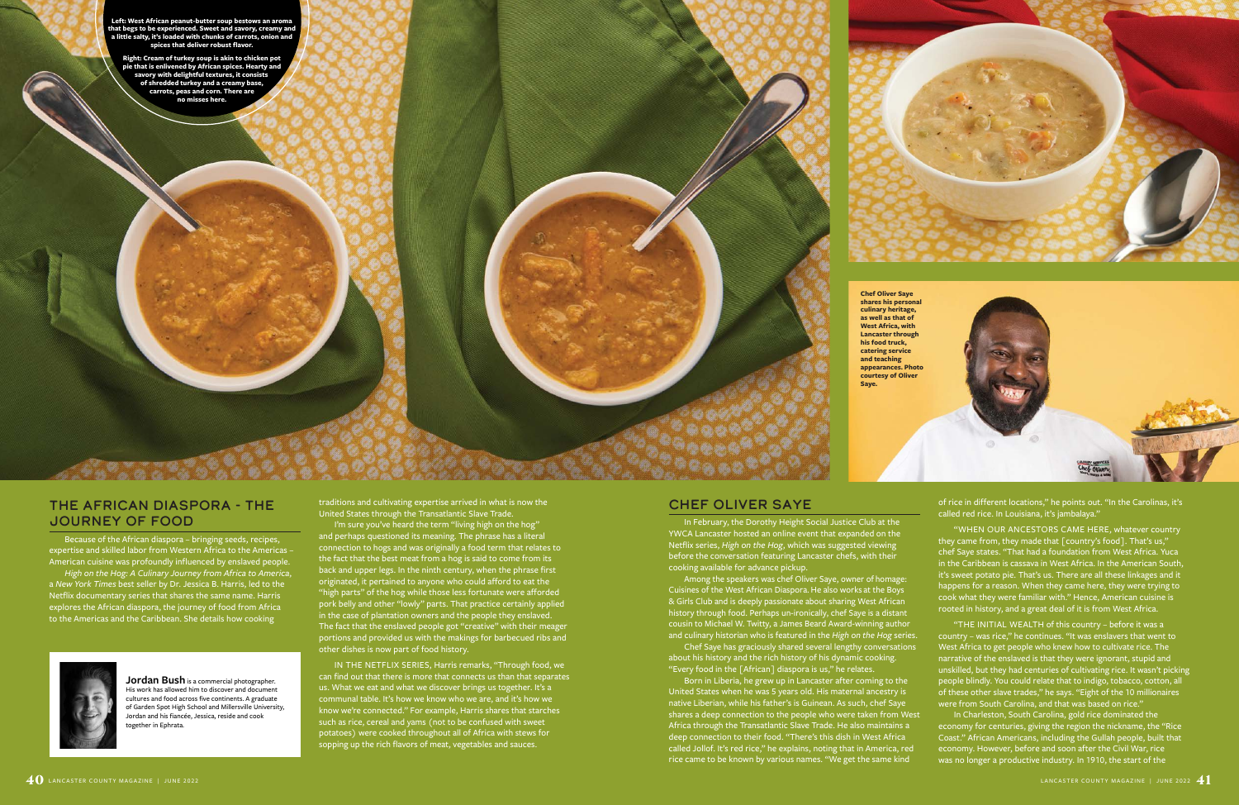#### The African Diaspora - The Journey of Food

Because of the African diaspora – bringing seeds, recipes, expertise and skilled labor from Western Africa to the Americas – American cuisine was profoundly influenced by enslaved people.

*High on the Hog: A Culinary Journey from Africa to America*, a *New York Times* best seller by Dr. Jessica B. Harris, led to the Netflix documentary series that shares the same name. Harris explores the African diaspora, the journey of food from Africa to the Americas and the Caribbean. She details how cooking



**Jordan Bush** is a commercial photographer. His work has allowed him to discover and document cultures and food across five continents. A graduate of Garden Spot High School and Millersville University, Jordan and his fiancée, Jessica, reside and cook ogether in Ephrata.

### Chef Oliver Saye

In February, the Dorothy Height Social Justice Club at the YWCA Lancaster hosted an online event that expanded on the Netflix series, *High on the Hog*, which was suggested viewing before the conversation featuring Lancaster chefs, with their cooking available for advance pickup.

Among the speakers was chef Oliver Saye, owner of homage: Cuisines of the West African Diaspora. He also works at the Boys & Girls Club and is deeply passionate about sharing West African history through food. Perhaps un-ironically, chef Saye is a distant cousin to Michael W. Twitty, a James Beard Award-winning author and culinary historian who is featured in the *High on the Hog* series.

Chef Saye has graciously shared several lengthy conversations about his history and the rich history of his dynamic cooking. "Every food in the [African] diaspora is us," he relates.

I'm sure you've heard the term "living high on the hog" and perhaps questioned its meaning. The phrase has a literal connection to hogs and was originally a food term that relates to the fact that the best meat from a hog is said to come from its back and upper legs. In the ninth century, when the phrase first originated, it pertained to anyone who could afford to eat the "high parts" of the hog while those less fortunate were afforded pork belly and other "lowly" parts. That practice certainly applied in the case of plantation owners and the people they enslaved. The fact that the enslaved people got "creative" with their meager portions and provided us with the makings for barbecued ribs and other dishes is now part of food history.

> Born in Liberia, he grew up in Lancaster after coming to the United States when he was 5 years old. His maternal ancestry is native Liberian, while his father's is Guinean. As such, chef Saye shares a deep connection to the people who were taken from West Africa through the Transatlantic Slave Trade. He also maintains a deep connection to their food. "There's this dish in West Africa called Jollof. It's red rice," he explains, noting that in America, red rice came to be known by various names. "We get the same kind



traditions and cultivating expertise arrived in what is now the United States through the Transatlantic Slave Trade.

IN THE NETFLIX SERIES, Harris remarks, "Through food, we can find out that there is more that connects us than that separates us. What we eat and what we discover brings us together. It's a communal table. It's how we know who we are, and it's how we know we're connected." For example, Harris shares that starches such as rice, cereal and yams (not to be confused with sweet potatoes) were cooked throughout all of Africa with stews for sopping up the rich flavors of meat, vegetables and sauces.

of rice in different locations," he points out. "In the Carolinas, it's called red rice. In Louisiana, it's jambalaya."

"WHEN OUR ANCESTORS CAME HERE, whatever country they came from, they made that [country's food]. That's us," chef Saye states. "That had a foundation from West Africa. Yuca in the Caribbean is cassava in West Africa. In the American South, it's sweet potato pie. That's us. There are all these linkages and it happens for a reason. When they came here, they were trying to cook what they were familiar with." Hence, American cuisine is rooted in history, and a great deal of it is from West Africa.

"THE INITIAL WEALTH of this country – before it was a country – was rice," he continues. "It was enslavers that went to West Africa to get people who knew how to cultivate rice. The narrative of the enslaved is that they were ignorant, stupid and unskilled, but they had centuries of cultivating rice. It wasn't picking people blindly. You could relate that to indigo, tobacco, cotton, all of these other slave trades," he says. "Eight of the 10 millionaires were from South Carolina, and that was based on rice."

In Charleston, South Carolina, gold rice dominated the economy for centuries, giving the region the nickname, the "Rice Coast." African Americans, including the Gullah people, built that economy. However, before and soon after the Civil War, rice was no longer a productive industry. In 1910, the start of the

**Left: West African peanut-butter soup bestows an aroma that begs to be experienced. Sweet and savory, creamy and a little salty, it's loaded with chunks of carrots, onion and spices that deliver robust flavor.** 

**Right: Cream of turkey soup is akin to chicken pot pie that is enlivened by African spices. Hearty and savory with delightful textures, it consists of shredded turkey and a creamy base, carrots, peas and corn. There are no misses here.**



**Chef Oliver Saye shares his personal culinary heritage, as well as that of West Africa, with Lancaster through his food truck, catering service and teaching appearances. Photo courtesy of Oliver Saye.**